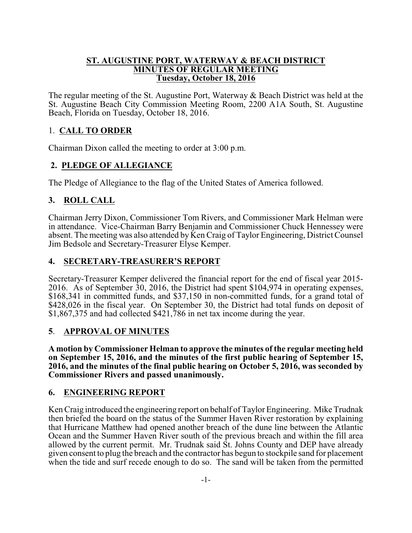#### **ST. AUGUSTINE PORT, WATERWAY & BEACH DISTRICT MINUTES OF REGULAR MEETING Tuesday, October 18, 2016**

The regular meeting of the St. Augustine Port, Waterway & Beach District was held at the St. Augustine Beach City Commission Meeting Room, 2200 A1A South, St. Augustine Beach, Florida on Tuesday, October 18, 2016.

# 1. **CALL TO ORDER**

Chairman Dixon called the meeting to order at 3:00 p.m.

### **2. PLEDGE OF ALLEGIANCE**

The Pledge of Allegiance to the flag of the United States of America followed.

### **3. ROLL CALL**

Chairman Jerry Dixon, Commissioner Tom Rivers, and Commissioner Mark Helman were in attendance. Vice-Chairman Barry Benjamin and Commissioner Chuck Hennessey were absent. The meeting was also attended by Ken Craig of Taylor Engineering, District Counsel Jim Bedsole and Secretary-Treasurer Elyse Kemper.

### **4. SECRETARY-TREASURER'S REPORT**

Secretary-Treasurer Kemper delivered the financial report for the end of fiscal year 2015- 2016. As of September 30, 2016, the District had spent \$104,974 in operating expenses, \$168,341 in committed funds, and \$37,150 in non-committed funds, for a grand total of \$428,026 in the fiscal year. On September 30, the District had total funds on deposit of \$1,867,375 and had collected \$421,786 in net tax income during the year.

### **5**. **APPROVAL OF MINUTES**

**A motion by Commissioner Helman to approve the minutes of the regular meeting held on September 15, 2016, and the minutes of the first public hearing of September 15, 2016, and the minutes of the final public hearing on October 5, 2016, was seconded by Commissioner Rivers and passed unanimously.** 

### **6. ENGINEERING REPORT**

Ken Craig introduced the engineering report on behalf of Taylor Engineering. Mike Trudnak then briefed the board on the status of the Summer Haven River restoration by explaining that Hurricane Matthew had opened another breach of the dune line between the Atlantic Ocean and the Summer Haven River south of the previous breach and within the fill area allowed by the current permit. Mr. Trudnak said St. Johns County and DEP have already given consent to plug the breach and the contractor has begun to stockpile sand for placement when the tide and surf recede enough to do so. The sand will be taken from the permitted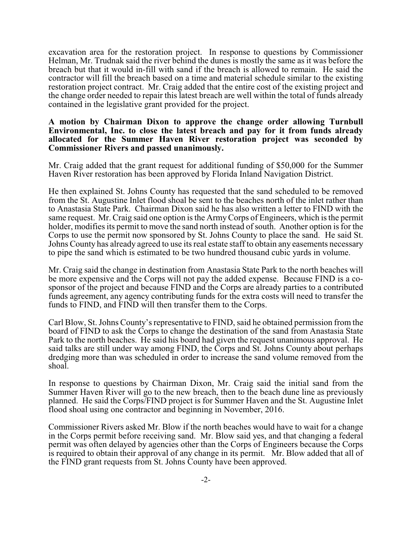excavation area for the restoration project. In response to questions by Commissioner Helman, Mr. Trudnak said the river behind the dunes is mostly the same as it was before the breach but that it would in-fill with sand if the breach is allowed to remain. He said the contractor will fill the breach based on a time and material schedule similar to the existing restoration project contract. Mr. Craig added that the entire cost of the existing project and the change order needed to repair this latest breach are well within the total of funds already contained in the legislative grant provided for the project.

#### **A motion by Chairman Dixon to approve the change order allowing Turnbull Environmental, Inc. to close the latest breach and pay for it from funds already allocated for the Summer Haven River restoration project was seconded by Commissioner Rivers and passed unanimously.**

Mr. Craig added that the grant request for additional funding of \$50,000 for the Summer Haven River restoration has been approved by Florida Inland Navigation District.

He then explained St. Johns County has requested that the sand scheduled to be removed from the St. Augustine Inlet flood shoal be sent to the beaches north of the inlet rather than to Anastasia State Park. Chairman Dixon said he has also written a letter to FIND with the same request. Mr. Craig said one option is the ArmyCorps of Engineers, which is the permit holder, modifies its permit to move the sand north instead of south. Another option is for the Corps to use the permit now sponsored by St. Johns County to place the sand. He said St. Johns County has already agreed to use its real estate staff to obtain any easements necessary to pipe the sand which is estimated to be two hundred thousand cubic yards in volume.

Mr. Craig said the change in destination from Anastasia State Park to the north beaches will be more expensive and the Corps will not pay the added expense. Because FIND is a cosponsor of the project and because FIND and the Corps are already parties to a contributed funds agreement, any agency contributing funds for the extra costs will need to transfer the funds to FIND, and FIND will then transfer them to the Corps.

Carl Blow, St. Johns County's representative to FIND, said he obtained permission from the board of FIND to ask the Corps to change the destination of the sand from Anastasia State Park to the north beaches. He said his board had given the request unanimous approval. He said talks are still under way among FIND, the Corps and St. Johns County about perhaps dredging more than was scheduled in order to increase the sand volume removed from the shoal.

In response to questions by Chairman Dixon, Mr. Craig said the initial sand from the Summer Haven River will go to the new breach, then to the beach dune line as previously planned. He said the Corps/FIND project is for Summer Haven and the St. Augustine Inlet flood shoal using one contractor and beginning in November, 2016.

Commissioner Rivers asked Mr. Blow if the north beaches would have to wait for a change in the Corps permit before receiving sand. Mr. Blow said yes, and that changing a federal permit was often delayed by agencies other than the Corps of Engineers because the Corps is required to obtain their approval of any change in its permit. Mr. Blow added that all of the FIND grant requests from St. Johns County have been approved.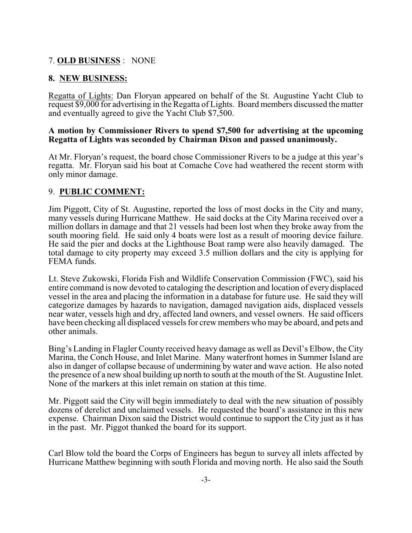# 7. **OLD BUSINESS** : NONE

### **8. NEW BUSINESS:**

Regatta of Lights: Dan Floryan appeared on behalf of the St. Augustine Yacht Club to request \$9,000 for advertising in the Regatta of Lights. Board members discussed the matter and eventually agreed to give the Yacht Club \$7,500.

#### **A motion by Commissioner Rivers to spend \$7,500 for advertising at the upcoming Regatta of Lights was seconded by Chairman Dixon and passed unanimously.**

At Mr. Floryan's request, the board chose Commissioner Rivers to be a judge at this year's regatta. Mr. Floryan said his boat at Comache Cove had weathered the recent storm with only minor damage.

### 9. **PUBLIC COMMENT:**

Jim Piggott, City of St. Augustine, reported the loss of most docks in the City and many, many vessels during Hurricane Matthew. He said docks at the City Marina received over a million dollars in damage and that 21 vessels had been lost when they broke away from the south mooring field. He said only 4 boats were lost as a result of mooring device failure. He said the pier and docks at the Lighthouse Boat ramp were also heavily damaged. The total damage to city property may exceed 3.5 million dollars and the city is applying for FEMA funds.

Lt. Steve Zukowski, Florida Fish and Wildlife Conservation Commission (FWC), said his entire command is now devoted to cataloging the description and location of every displaced vessel in the area and placing the information in a database for future use. He said they will categorize damages by hazards to navigation, damaged navigation aids, displaced vessels near water, vessels high and dry, affected land owners, and vessel owners. He said officers have been checking all displaced vessels for crew members who may be aboard, and pets and other animals.

Bing's Landing in Flagler County received heavy damage as well as Devil's Elbow, the City Marina, the Conch House, and Inlet Marine. Many waterfront homes in Summer Island are also in danger of collapse because of undermining by water and wave action. He also noted the presence of a new shoal building up north to south at the mouth of the St. Augustine Inlet. None of the markers at this inlet remain on station at this time.

Mr. Piggott said the City will begin immediately to deal with the new situation of possibly dozens of derelict and unclaimed vessels. He requested the board's assistance in this new expense. Chairman Dixon said the District would continue to support the City just as it has in the past. Mr. Piggot thanked the board for its support.

Carl Blow told the board the Corps of Engineers has begun to survey all inlets affected by Hurricane Matthew beginning with south Florida and moving north. He also said the South